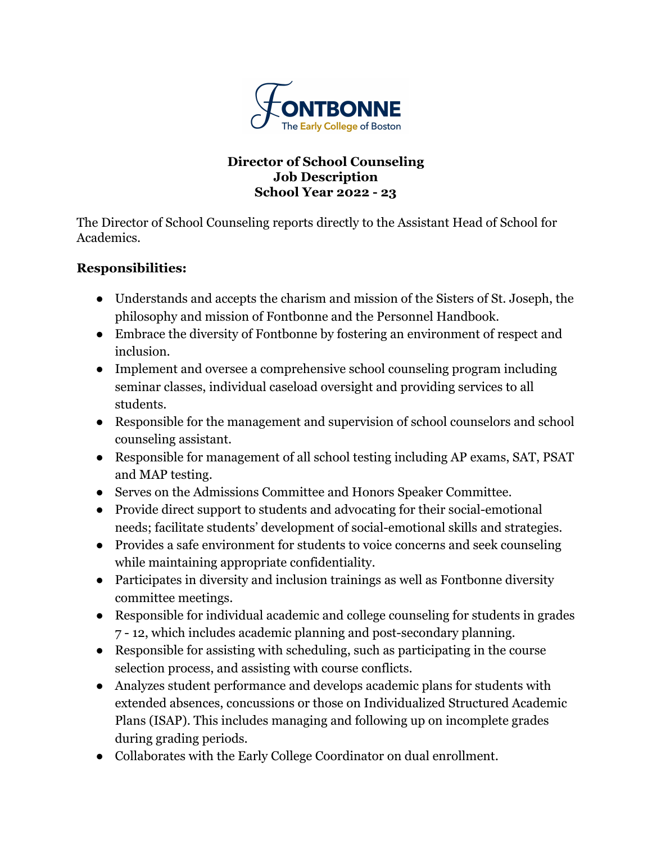

## **Director of School Counseling Job Description School Year 2022 - 23**

The Director of School Counseling reports directly to the Assistant Head of School for Academics.

## **Responsibilities:**

- Understands and accepts the charism and mission of the Sisters of St. Joseph, the philosophy and mission of Fontbonne and the Personnel Handbook.
- Embrace the diversity of Fontbonne by fostering an environment of respect and inclusion.
- Implement and oversee a comprehensive school counseling program including seminar classes, individual caseload oversight and providing services to all students.
- Responsible for the management and supervision of school counselors and school counseling assistant.
- Responsible for management of all school testing including AP exams, SAT, PSAT and MAP testing.
- Serves on the Admissions Committee and Honors Speaker Committee.
- Provide direct support to students and advocating for their social-emotional needs; facilitate students' development of social-emotional skills and strategies.
- Provides a safe environment for students to voice concerns and seek counseling while maintaining appropriate confidentiality.
- Participates in diversity and inclusion trainings as well as Fontbonne diversity committee meetings.
- Responsible for individual academic and college counseling for students in grades 7 - 12, which includes academic planning and post-secondary planning.
- Responsible for assisting with scheduling, such as participating in the course selection process, and assisting with course conflicts.
- Analyzes student performance and develops academic plans for students with extended absences, concussions or those on Individualized Structured Academic Plans (ISAP). This includes managing and following up on incomplete grades during grading periods.
- Collaborates with the Early College Coordinator on dual enrollment.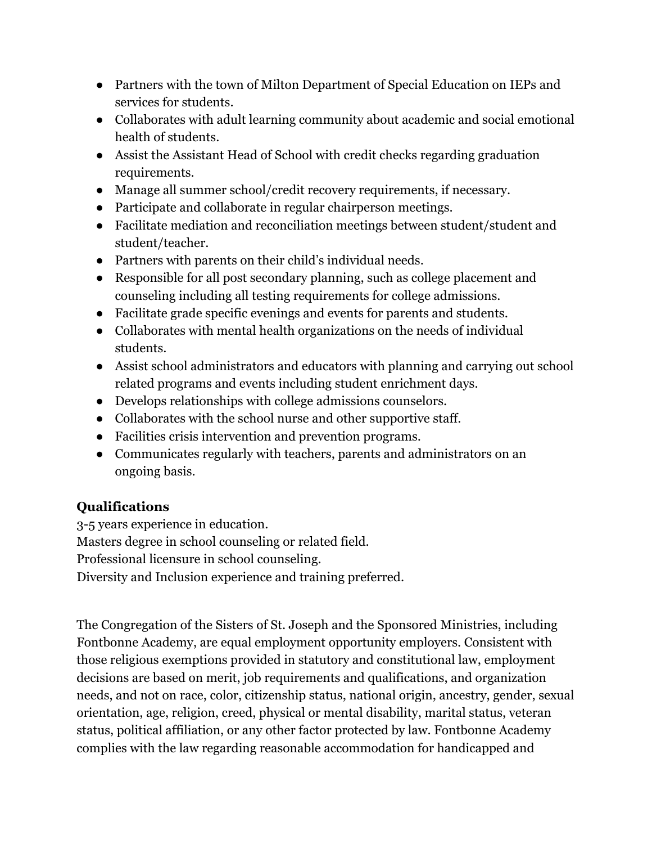- Partners with the town of Milton Department of Special Education on IEPs and services for students.
- Collaborates with adult learning community about academic and social emotional health of students.
- Assist the Assistant Head of School with credit checks regarding graduation requirements.
- Manage all summer school/credit recovery requirements, if necessary.
- Participate and collaborate in regular chairperson meetings.
- Facilitate mediation and reconciliation meetings between student/student and student/teacher.
- Partners with parents on their child's individual needs.
- Responsible for all post secondary planning, such as college placement and counseling including all testing requirements for college admissions.
- Facilitate grade specific evenings and events for parents and students.
- Collaborates with mental health organizations on the needs of individual students.
- Assist school administrators and educators with planning and carrying out school related programs and events including student enrichment days.
- Develops relationships with college admissions counselors.
- Collaborates with the school nurse and other supportive staff.
- Facilities crisis intervention and prevention programs.
- Communicates regularly with teachers, parents and administrators on an ongoing basis.

## **Qualifications**

3-5 years experience in education. Masters degree in school counseling or related field.

Professional licensure in school counseling.

Diversity and Inclusion experience and training preferred.

The Congregation of the Sisters of St. Joseph and the Sponsored Ministries, including Fontbonne Academy, are equal employment opportunity employers. Consistent with those religious exemptions provided in statutory and constitutional law, employment decisions are based on merit, job requirements and qualifications, and organization needs, and not on race, color, citizenship status, national origin, ancestry, gender, sexual orientation, age, religion, creed, physical or mental disability, marital status, veteran status, political affiliation, or any other factor protected by law. Fontbonne Academy complies with the law regarding reasonable accommodation for handicapped and